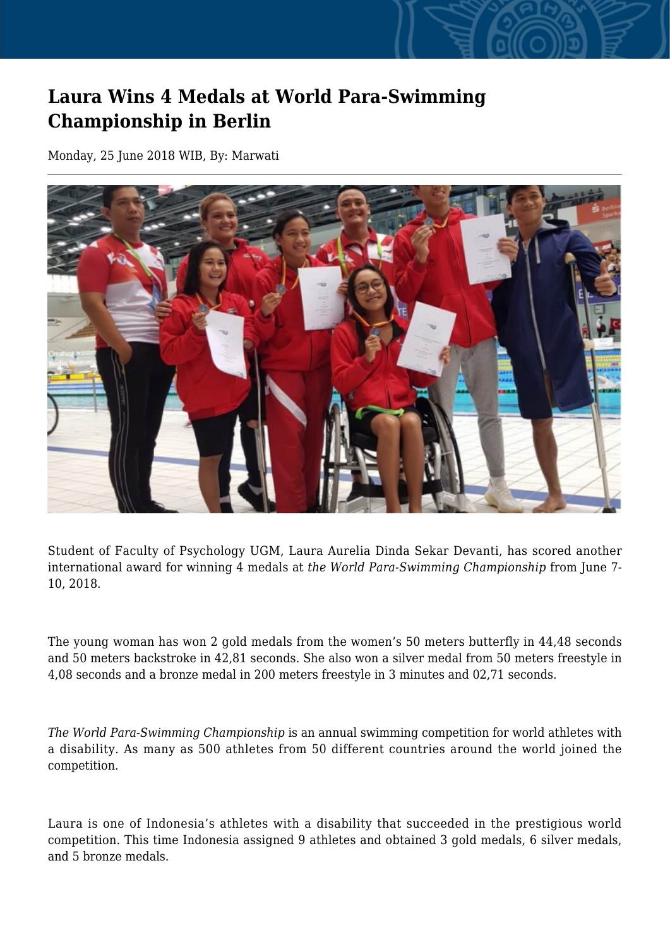## **Laura Wins 4 Medals at World Para-Swimming Championship in Berlin**

Monday, 25 June 2018 WIB, By: Marwati



Student of Faculty of Psychology UGM, Laura Aurelia Dinda Sekar Devanti, has scored another international award for winning 4 medals at *the World Para-Swimming Championship* from June 7- 10, 2018.

The young woman has won 2 gold medals from the women's 50 meters butterfly in 44,48 seconds and 50 meters backstroke in 42,81 seconds. She also won a silver medal from 50 meters freestyle in 4,08 seconds and a bronze medal in 200 meters freestyle in 3 minutes and 02,71 seconds.

*The World Para-Swimming Championship* is an annual swimming competition for world athletes with a disability. As many as 500 athletes from 50 different countries around the world joined the competition.

Laura is one of Indonesia's athletes with a disability that succeeded in the prestigious world competition. This time Indonesia assigned 9 athletes and obtained 3 gold medals, 6 silver medals, and 5 bronze medals.